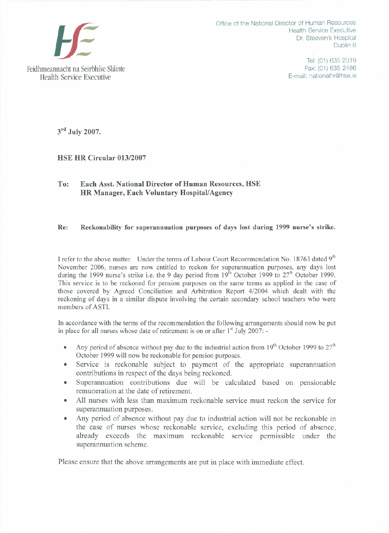

Office of the National Director of Human Resources Health Service Executive Dr. Steeven's Hospital Dublin 8

> Tel: (01) 635 2319 Fax: (01) 635 2486 E-mail: nationalhr@hse.ie

 $3<sup>rd</sup>$  July 2007.

## HSE HR Circular 013/2007

## To: Each Asst. National Director of Human Resources, HSE HR Manager, Each Voluntary Hospital/Agency

## Re: Reckonability for superannuation purposes of days lost during 1999 nurse's strike.

I refer to the above matter. Under the terms of Labour Court Recommendation No. 18763 dated 9<sup>th</sup> November 2006, nurses are now entitled to reckon for superannuation purposes, any days lost during the 1999 nurse's strike i.e. the 9 day period from  $19<sup>th</sup>$  October 1999 to  $27<sup>th</sup>$  October 1999. This service is to be reckoned for pension purposes on the same terms as applied in the case of those covered by Agreed Conciliation and Arbitration Report 4/2004 which dealt with the reckoning of days in a similar dispute involving the certain secondary school teachers who were members of ASTI.

In accordance with the terms of the recommendation the following arrangements should now be put in place for all nurses whose date of retirement is on or after  $1<sup>st</sup>$  July 2007: -

- Any period of absence without pay due to the industrial action from 19<sup>th</sup> October 1999 to  $27<sup>th</sup>$ October 1999 will now be reckonable for pension purposes.
- Service is reckonable subject to payment of the appropriate superannuation contributions in respect of the days being reckoned. .
- Superannuation contributions due will be calculated based on pensionable remuneration at the date of retirement. .
- All nurses with less than maximum reckonable service must reckon the service for superannuation purposes.
- Any period of absence without pay due to industrial action will not be reckonable in the case of nurses whose reckonable service, excluding this period of absence, already exceeds the maximum reckonable service permissible under the superannuation scheme. .

Please ensure that the above arrangements are put in place with immediate effect.